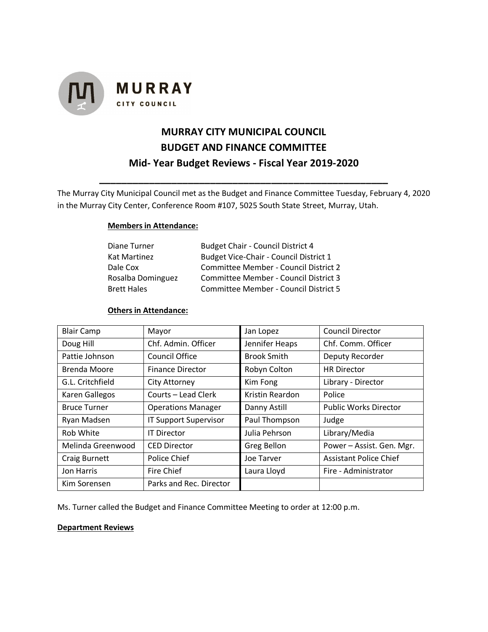

## **MURRAY CITY MUNICIPAL COUNCIL BUDGET AND FINANCE COMMITTEE Mid- Year Budget Reviews - Fiscal Year 2019-2020**

The Murray City Municipal Council met as the Budget and Finance Committee Tuesday, February 4, 2020 in the Murray City Center, Conference Room #107, 5025 South State Street, Murray, Utah.

**\_\_\_\_\_\_\_\_\_\_\_\_\_\_\_\_\_\_\_\_\_\_\_\_\_\_\_\_\_\_\_\_\_\_\_\_\_\_\_\_\_\_\_\_\_\_\_\_\_\_\_\_**

## **Members in Attendance:**

| Diane Turner       | <b>Budget Chair - Council District 4</b> |  |  |
|--------------------|------------------------------------------|--|--|
| Kat Martinez       | Budget Vice-Chair - Council District 1   |  |  |
| Dale Cox           | Committee Member - Council District 2    |  |  |
| Rosalba Dominguez  | Committee Member - Council District 3    |  |  |
| <b>Brett Hales</b> | Committee Member - Council District 5    |  |  |

## **Others in Attendance:**

| <b>Blair Camp</b>    | Mayor                        | Jan Lopez          | <b>Council Director</b>       |
|----------------------|------------------------------|--------------------|-------------------------------|
| Doug Hill            | Chf. Admin. Officer          | Jennifer Heaps     | Chf. Comm. Officer            |
| Pattie Johnson       | Council Office               | <b>Brook Smith</b> | Deputy Recorder               |
| Brenda Moore         | <b>Finance Director</b>      | Robyn Colton       | <b>HR Director</b>            |
| G.L. Critchfield     | <b>City Attorney</b>         | Kim Fong           | Library - Director            |
| Karen Gallegos       | Courts – Lead Clerk          | Kristin Reardon    | Police                        |
| <b>Bruce Turner</b>  | <b>Operations Manager</b>    | Danny Astill       | <b>Public Works Director</b>  |
| Ryan Madsen          | <b>IT Support Supervisor</b> | Paul Thompson      | Judge                         |
| Rob White            | <b>IT Director</b>           | Julia Pehrson      | Library/Media                 |
| Melinda Greenwood    | <b>CED Director</b>          | Greg Bellon        | Power - Assist. Gen. Mgr.     |
| <b>Craig Burnett</b> | Police Chief                 | Joe Tarver         | <b>Assistant Police Chief</b> |
| Jon Harris           | Fire Chief                   | Laura Lloyd        | Fire - Administrator          |
| Kim Sorensen         | Parks and Rec. Director      |                    |                               |

Ms. Turner called the Budget and Finance Committee Meeting to order at 12:00 p.m.

## **Department Reviews**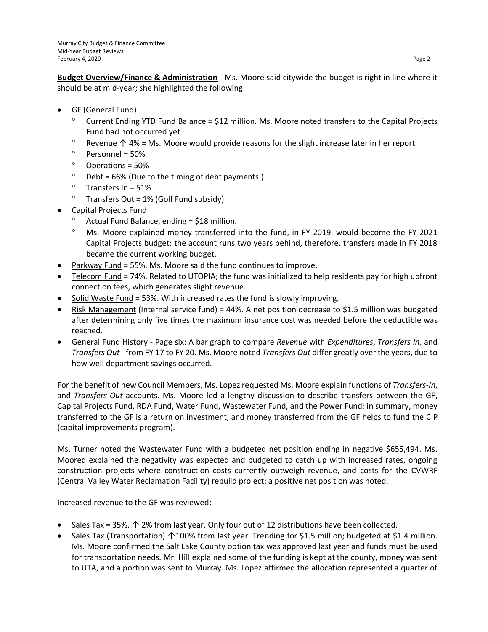**Budget Overview/Finance & Administration** - Ms. Moore said citywide the budget is right in line where it should be at mid-year; she highlighted the following:

- GF (General Fund)
	- Current Ending YTD Fund Balance = \$12 million. Ms. Moore noted transfers to the Capital Projects Fund had not occurred yet.
	- ° Revenue  $↑$  4% = Ms. Moore would provide reasons for the slight increase later in her report.
	- $^{\circ}$  Personnel = 50%
	- $^{\circ}$  Operations = 50%
	- $\degree$  Debt = 66% (Due to the timing of debt payments.)
	- $^{\circ}$  Transfers In = 51%
	- $^{\circ}$  Transfers Out = 1% (Golf Fund subsidy)
- Capital Projects Fund
	- Actual Fund Balance, ending = \$18 million.
	- Ms. Moore explained money transferred into the fund, in FY 2019, would become the FY 2021 Capital Projects budget; the account runs two years behind, therefore, transfers made in FY 2018 became the current working budget.
- Parkway Fund = 55%. Ms. Moore said the fund continues to improve.
- Telecom Fund = 74%. Related to UTOPIA; the fund was initialized to help residents pay for high upfront connection fees, which generates slight revenue.
- Solid Waste Fund = 53%. With increased rates the fund is slowly improving.
- Risk Management (Internal service fund) = 44%. A net position decrease to \$1.5 million was budgeted after determining only five times the maximum insurance cost was needed before the deductible was reached.
- General Fund History Page six: A bar graph to compare *Revenue* with *Expenditures*, *Transfers In*, and *Transfers Out* - from FY 17 to FY 20. Ms. Moore noted *Transfers Out* differ greatly over the years, due to how well department savings occurred.

For the benefit of new Council Members, Ms. Lopez requested Ms. Moore explain functions of *Transfers-In*, and *Transfers-Out* accounts. Ms. Moore led a lengthy discussion to describe transfers between the GF, Capital Projects Fund, RDA Fund, Water Fund, Wastewater Fund, and the Power Fund; in summary, money transferred to the GF is a return on investment, and money transferred from the GF helps to fund the CIP (capital improvements program).

Ms. Turner noted the Wastewater Fund with a budgeted net position ending in negative \$655,494. Ms. Moored explained the negativity was expected and budgeted to catch up with increased rates, ongoing construction projects where construction costs currently outweigh revenue, and costs for the CVWRF (Central Valley Water Reclamation Facility) rebuild project; a positive net position was noted.

Increased revenue to the GF was reviewed:

- Sales Tax = 35%. ↑ 2% from last year. Only four out of 12 distributions have been collected.
- Sales Tax (Transportation) ↑100% from last year. Trending for \$1.5 million; budgeted at \$1.4 million. Ms. Moore confirmed the Salt Lake County option tax was approved last year and funds must be used for transportation needs. Mr. Hill explained some of the funding is kept at the county, money was sent to UTA, and a portion was sent to Murray. Ms. Lopez affirmed the allocation represented a quarter of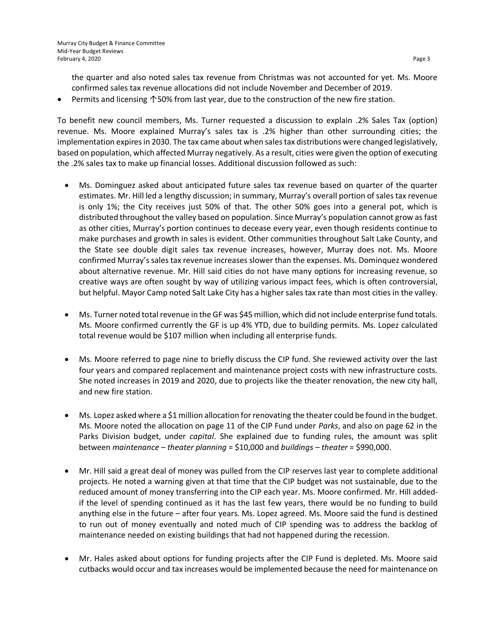the quarter and also noted sales tax revenue from Christmas was not accounted for yet. Ms. Moore confirmed sales tax revenue allocations did not include November and December of 2019.

Permits and licensing ↑50% from last year, due to the construction of the new fire station.

To benefit new council members, Ms. Turner requested a discussion to explain .2% Sales Tax (option) revenue. Ms. Moore explained Murray's sales tax is .2% higher than other surrounding cities; the implementation expires in 2030. The tax came about when sales tax distributions were changed legislatively, based on population, which affected Murray negatively. As a result, cities were given the option of executing the .2% sales tax to make up financial losses. Additional discussion followed as such:

- Ms. Dominguez asked about anticipated future sales tax revenue based on quarter of the quarter estimates. Mr. Hill led a lengthy discussion; in summary, Murray's overall portion of sales tax revenue is only 1%; the City receives just 50% of that. The other 50% goes into a general pot, which is distributed throughout the valley based on population. Since Murray's population cannot grow as fast as other cities, Murray's portion continues to decease every year, even though residents continue to make purchases and growth in sales is evident. Other communities throughout Salt Lake County, and the State see double digit sales tax revenue increases, however, Murray does not. Ms. Moore confirmed Murray's sales tax revenue increases slower than the expenses. Ms. Dominquez wondered about alternative revenue. Mr. Hill said cities do not have many options for increasing revenue, so creative ways are often sought by way of utilizing various impact fees, which is often controversial, but helpful. Mayor Camp noted Salt Lake City has a higher sales tax rate than most cities in the valley.
- Ms. Turner noted total revenue in the GF was \$45 million, which did not include enterprise fund totals. Ms. Moore confirmed currently the GF is up 4% YTD, due to building permits. Ms. Lopez calculated total revenue would be \$107 million when including all enterprise funds.
- Ms. Moore referred to page nine to briefly discuss the CIP fund. She reviewed activity over the last four years and compared replacement and maintenance project costs with new infrastructure costs. She noted increases in 2019 and 2020, due to projects like the theater renovation, the new city hall, and new fire station.
- Ms. Lopez asked where a \$1 million allocation for renovating the theater could be found in the budget. Ms. Moore noted the allocation on page 11 of the CIP Fund under *Parks*, and also on page 62 in the Parks Division budget, under *capital*. She explained due to funding rules, the amount was split between *maintenance – theater planning* = \$10,000 and *buildings – theater* = \$990,000.
- Mr. Hill said a great deal of money was pulled from the CIP reserves last year to complete additional projects. He noted a warning given at that time that the CIP budget was not sustainable, due to the reduced amount of money transferring into the CIP each year. Ms. Moore confirmed. Mr. Hill addedif the level of spending continued as it has the last few years, there would be no funding to build anything else in the future – after four years. Ms. Lopez agreed. Ms. Moore said the fund is destined to run out of money eventually and noted much of CIP spending was to address the backlog of maintenance needed on existing buildings that had not happened during the recession.
- Mr. Hales asked about options for funding projects after the CIP Fund is depleted. Ms. Moore said cutbacks would occur and tax increases would be implemented because the need for maintenance on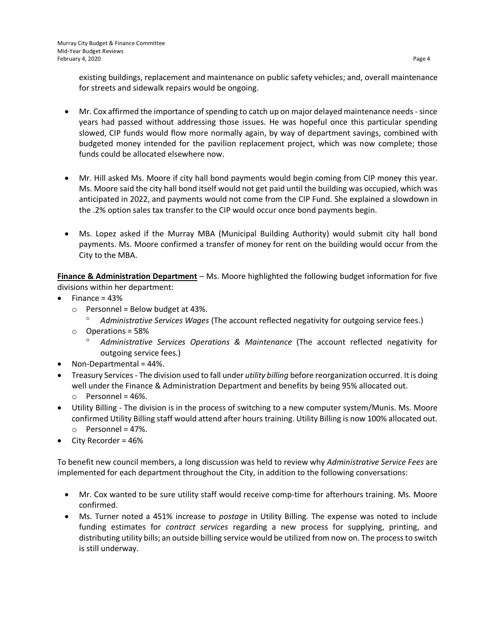existing buildings, replacement and maintenance on public safety vehicles; and, overall maintenance for streets and sidewalk repairs would be ongoing.

- Mr. Cox affirmed the importance of spending to catch up on major delayed maintenance needs-since years had passed without addressing those issues. He was hopeful once this particular spending slowed, CIP funds would flow more normally again, by way of department savings, combined with budgeted money intended for the pavilion replacement project, which was now complete; those funds could be allocated elsewhere now.
- Mr. Hill asked Ms. Moore if city hall bond payments would begin coming from CIP money this year. Ms. Moore said the city hall bond itself would not get paid until the building was occupied, which was anticipated in 2022, and payments would not come from the CIP Fund. She explained a slowdown in the .2% option sales tax transfer to the CIP would occur once bond payments begin.
- Ms. Lopez asked if the Murray MBA (Municipal Building Authority) would submit city hall bond payments. Ms. Moore confirmed a transfer of money for rent on the building would occur from the City to the MBA.

**Finance & Administration Department** – Ms. Moore highlighted the following budget information for five divisions within her department:

- Finance = 43%
	- $\circ$  Personnel = Below budget at 43%.
		- *Administrative Services Wages* (The account reflected negativity for outgoing service fees.)
	- o Operations = 58%
		- *Administrative Services Operations & Maintenance* (The account reflected negativity for outgoing service fees.)
- Non-Departmental = 44%.
- Treasury Services- The division used to fall under *utility billing* before reorganization occurred. It is doing well under the Finance & Administration Department and benefits by being 95% allocated out.  $\circ$  Personnel = 46%.
- Utility Billing The division is in the process of switching to a new computer system/Munis. Ms. Moore confirmed Utility Billing staff would attend after hours training. Utility Billing is now 100% allocated out.
	- $\circ$  Personnel = 47%.
- City Recorder = 46%

To benefit new council members, a long discussion was held to review why *Administrative Service Fees* are implemented for each department throughout the City, in addition to the following conversations:

- Mr. Cox wanted to be sure utility staff would receive comp-time for afterhours training. Ms. Moore confirmed.
- Ms. Turner noted a 451% increase to *postage* in Utility Billing*.* The expense was noted to include funding estimates for *contract services* regarding a new process for supplying, printing, and distributing utility bills; an outside billing service would be utilized from now on. The process to switch is still underway.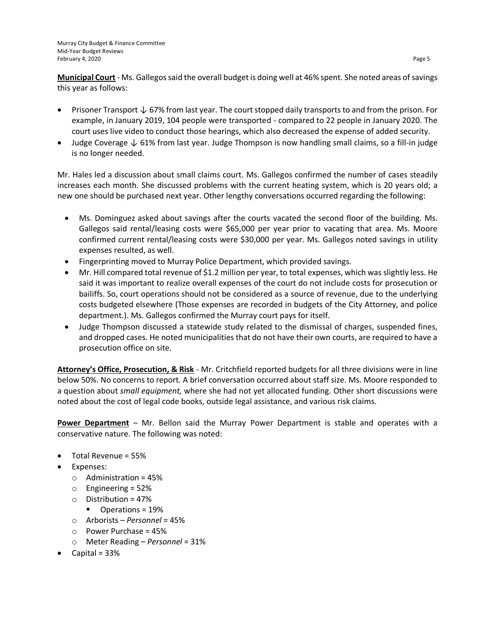**Municipal Court** - Ms. Gallegos said the overall budget is doing well at 46% spent. She noted areas of savings this year as follows:

- Prisoner Transport ↓ 67% from last year. The court stopped daily transports to and from the prison. For example, in January 2019, 104 people were transported - compared to 22 people in January 2020. The court uses live video to conduct those hearings, which also decreased the expense of added security.
- Judge Coverage  $\downarrow$  61% from last year. Judge Thompson is now handling small claims, so a fill-in judge is no longer needed.

Mr. Hales led a discussion about small claims court. Ms. Gallegos confirmed the number of cases steadily increases each month. She discussed problems with the current heating system, which is 20 years old; a new one should be purchased next year. Other lengthy conversations occurred regarding the following:

- Ms. Dominguez asked about savings after the courts vacated the second floor of the building. Ms. Gallegos said rental/leasing costs were \$65,000 per year prior to vacating that area. Ms. Moore confirmed current rental/leasing costs were \$30,000 per year. Ms. Gallegos noted savings in utility expenses resulted, as well.
- Fingerprinting moved to Murray Police Department, which provided savings.
- Mr. Hill compared total revenue of \$1.2 million per year, to total expenses, which was slightly less. He said it was important to realize overall expenses of the court do not include costs for prosecution or bailiffs. So, court operations should not be considered as a source of revenue, due to the underlying costs budgeted elsewhere (Those expenses are recorded in budgets of the City Attorney, and police department.). Ms. Gallegos confirmed the Murray court pays for itself.
- Judge Thompson discussed a statewide study related to the dismissal of charges, suspended fines, and dropped cases. He noted municipalities that do not have their own courts, are required to have a prosecution office on site.

**Attorney's Office, Prosecution, & Risk** - Mr. Critchfield reported budgets for all three divisions were in line below 50%. No concerns to report. A brief conversation occurred about staff size. Ms. Moore responded to a question about *small equipment,* where she had not yet allocated funding. Other short discussions were noted about the cost of legal code books, outside legal assistance, and various risk claims.

**Power Department** – Mr. Bellon said the Murray Power Department is stable and operates with a conservative nature. The following was noted:

- Total Revenue = 55%
- Expenses:
	- $\circ$  Administration = 45%
	- o Engineering = 52%
	- $\circ$  Distribution = 47%
		- Operations = 19%
	- o Arborists *Personnel* = 45%
	- o Power Purchase = 45%
	- o Meter Reading *Personnel* = 31%
- Capital = 33%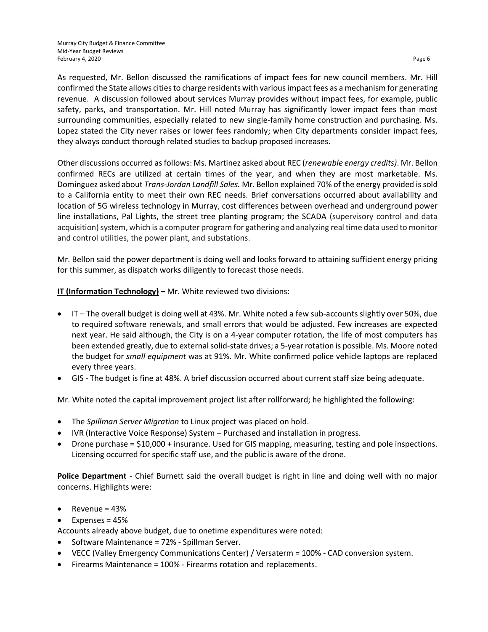As requested, Mr. Bellon discussed the ramifications of impact fees for new council members. Mr. Hill confirmed the State allows cities to charge residents with various impact fees as a mechanism for generating revenue. A discussion followed about services Murray provides without impact fees, for example, public safety, parks, and transportation. Mr. Hill noted Murray has significantly lower impact fees than most surrounding communities, especially related to new single-family home construction and purchasing. Ms. Lopez stated the City never raises or lower fees randomly; when City departments consider impact fees, they always conduct thorough related studies to backup proposed increases.

Other discussions occurred as follows: Ms. Martinez asked about REC (*renewable energy credits)*. Mr. Bellon confirmed RECs are utilized at certain times of the year, and when they are most marketable. Ms. Dominguez asked about *Trans-Jordan Landfill Sales.* Mr. Bellon explained 70% of the energy provided is sold to a California entity to meet their own REC needs. Brief conversations occurred about availability and location of 5G wireless technology in Murray, cost differences between overhead and underground power line installations, Pal Lights, the street tree planting program; the SCADA (supervisory control and data acquisition) system, which is a computer program for gathering and analyzing real time data used to monitor and control utilities, the power plant, and substations.

Mr. Bellon said the power department is doing well and looks forward to attaining sufficient energy pricing for this summer, as dispatch works diligently to forecast those needs.

**IT (Information Technology) –** Mr. White reviewed two divisions:

- IT The overall budget is doing well at 43%. Mr. White noted a few sub-accounts slightly over 50%, due to required software renewals, and small errors that would be adjusted. Few increases are expected next year. He said although, the City is on a 4-year computer rotation, the life of most computers has been extended greatly, due to external solid-state drives; a 5-year rotation is possible. Ms. Moore noted the budget for *small equipment* was at 91%. Mr. White confirmed police vehicle laptops are replaced every three years.
- GIS The budget is fine at 48%. A brief discussion occurred about current staff size being adequate.

Mr. White noted the capital improvement project list after rollforward; he highlighted the following:

- The *Spillman Server Migration* to Linux project was placed on hold.
- IVR (Interactive Voice Response) System Purchased and installation in progress.
- Drone purchase = \$10,000 + insurance. Used for GIS mapping, measuring, testing and pole inspections. Licensing occurred for specific staff use, and the public is aware of the drone.

**Police Department** - Chief Burnett said the overall budget is right in line and doing well with no major concerns. Highlights were:

- $\bullet$  Revenue = 43%
- $\bullet$  Expenses = 45%

Accounts already above budget, due to onetime expenditures were noted:

- Software Maintenance = 72% Spillman Server.
- VECC (Valley Emergency Communications Center) / Versaterm = 100% CAD conversion system.
- Firearms Maintenance = 100% Firearms rotation and replacements.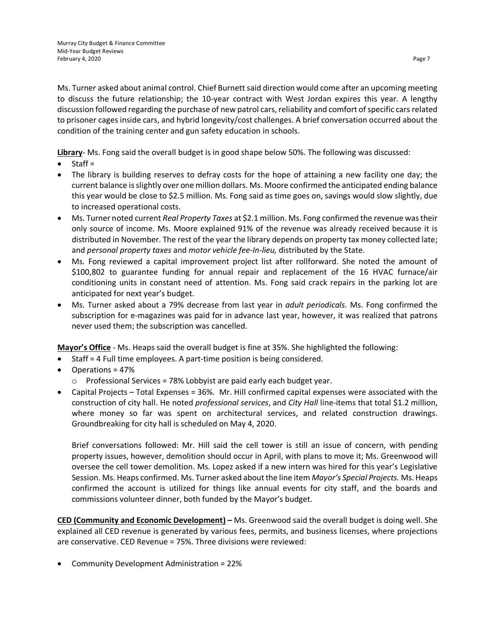Ms. Turner asked about animal control. Chief Burnett said direction would come after an upcoming meeting to discuss the future relationship; the 10-year contract with West Jordan expires this year. A lengthy discussion followed regarding the purchase of new patrol cars,reliability and comfort of specific cars related to prisoner cages inside cars, and hybrid longevity/cost challenges. A brief conversation occurred about the condition of the training center and gun safety education in schools.

**Library**- Ms. Fong said the overall budget is in good shape below 50%. The following was discussed:

- Staff =
- The library is building reserves to defray costs for the hope of attaining a new facility one day; the current balance is slightly over one million dollars. Ms. Moore confirmed the anticipated ending balance this year would be close to \$2.5 million. Ms. Fong said as time goes on, savings would slow slightly, due to increased operational costs.
- Ms. Turner noted current *Real Property Taxes* at \$2.1 million. Ms. Fong confirmed the revenue was their only source of income. Ms. Moore explained 91% of the revenue was already received because it is distributed in November. The rest of the year the library depends on property tax money collected late; and *personal property taxes* and *motor vehicle fee-In-lieu,* distributed by the State.
- Ms. Fong reviewed a capital improvement project list after rollforward. She noted the amount of \$100,802 to guarantee funding for annual repair and replacement of the 16 HVAC furnace/air conditioning units in constant need of attention. Ms. Fong said crack repairs in the parking lot are anticipated for next year's budget.
- Ms. Turner asked about a 79% decrease from last year in *adult periodicals.* Ms. Fong confirmed the subscription for e-magazines was paid for in advance last year, however, it was realized that patrons never used them; the subscription was cancelled.

**Mayor's Office** - Ms. Heaps said the overall budget is fine at 35%. She highlighted the following:

- Staff = 4 Full time employees. A part-time position is being considered.
- Operations = 47%
	- $\circ$  Professional Services = 78% Lobbyist are paid early each budget year.
- Capital Projects Total Expenses = 36%. Mr. Hill confirmed capital expenses were associated with the construction of city hall. He noted *professional services*, and *City Hall* line-items that total \$1.2 million, where money so far was spent on architectural services, and related construction drawings. Groundbreaking for city hall is scheduled on May 4, 2020.

Brief conversations followed: Mr. Hill said the cell tower is still an issue of concern, with pending property issues, however, demolition should occur in April, with plans to move it; Ms. Greenwood will oversee the cell tower demolition. Ms. Lopez asked if a new intern was hired for this year's Legislative Session. Ms. Heaps confirmed. Ms. Turner asked about the line item *Mayor's Special Projects.* Ms. Heaps confirmed the account is utilized for things like annual events for city staff, and the boards and commissions volunteer dinner, both funded by the Mayor's budget.

**CED (Community and Economic Development) –** Ms. Greenwood said the overall budget is doing well. She explained all CED revenue is generated by various fees, permits, and business licenses, where projections are conservative. CED Revenue = 75%. Three divisions were reviewed:

Community Development Administration = 22%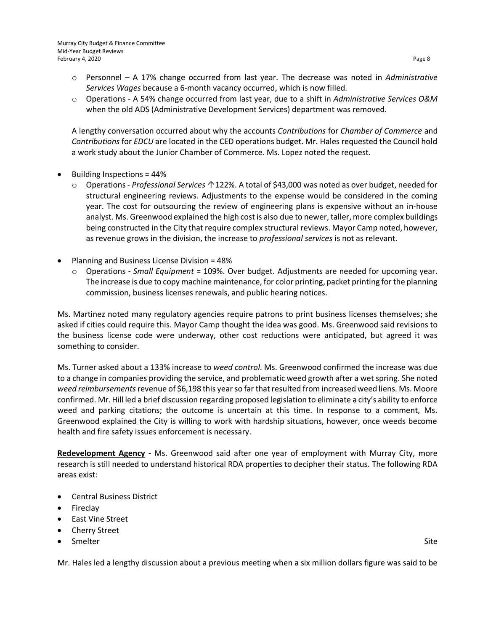- o Personnel A 17% change occurred from last year. The decrease was noted in *Administrative Services Wages* because a 6-month vacancy occurred, which is now filled.
- o Operations A 54% change occurred from last year, due to a shift in *Administrative Services O&M* when the old ADS (Administrative Development Services) department was removed.

A lengthy conversation occurred about why the accounts *Contributions* for *Chamber of Commerce* and *Contributions* for *EDCU* are located in the CED operations budget. Mr. Hales requested the Council hold a work study about the Junior Chamber of Commerce. Ms. Lopez noted the request.

- Building Inspections = 44%
	- o Operations *Professional Services* ↑122%. A total of \$43,000 was noted as over budget, needed for structural engineering reviews. Adjustments to the expense would be considered in the coming year. The cost for outsourcing the review of engineering plans is expensive without an in-house analyst. Ms. Greenwood explained the high cost is also due to newer, taller, more complex buildings being constructed in the City that require complex structural reviews. Mayor Camp noted, however, as revenue grows in the division, the increase to *professional services* is not as relevant.
- Planning and Business License Division = 48%
	- o Operations *Small Equipment* = 109%. Over budget. Adjustments are needed for upcoming year. The increase is due to copy machine maintenance, for color printing, packet printing for the planning commission, business licenses renewals, and public hearing notices.

Ms. Martinez noted many regulatory agencies require patrons to print business licenses themselves; she asked if cities could require this. Mayor Camp thought the idea was good. Ms. Greenwood said revisions to the business license code were underway, other cost reductions were anticipated, but agreed it was something to consider.

Ms. Turner asked about a 133% increase to *weed control*. Ms. Greenwood confirmed the increase was due to a change in companies providing the service, and problematic weed growth after a wet spring. She noted *weed reimbursements*revenue of \$6,198 this year so far that resulted from increased weed liens. Ms. Moore confirmed. Mr. Hill led a brief discussion regarding proposed legislation to eliminate a city's ability to enforce weed and parking citations; the outcome is uncertain at this time. In response to a comment, Ms. Greenwood explained the City is willing to work with hardship situations, however, once weeds become health and fire safety issues enforcement is necessary.

**Redevelopment Agency -** Ms. Greenwood said after one year of employment with Murray City, more research is still needed to understand historical RDA properties to decipher their status. The following RDA areas exist:

- Central Business District
- Fireclay
- East Vine Street
- Cherry Street
- Smelter Site

Mr. Hales led a lengthy discussion about a previous meeting when a six million dollars figure was said to be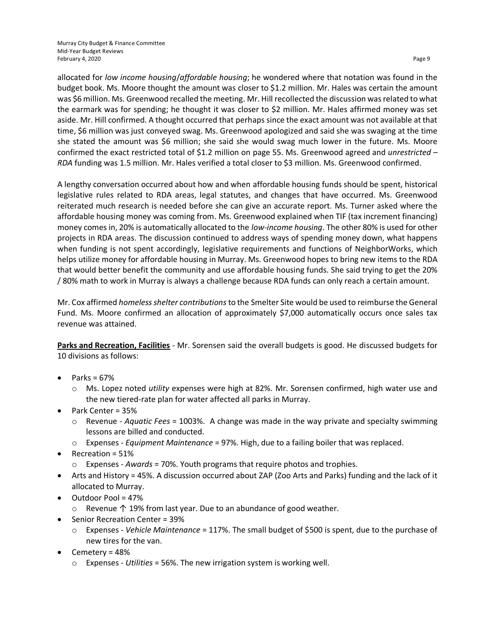allocated for *low income housing*/*affordable housing*; he wondered where that notation was found in the budget book. Ms. Moore thought the amount was closer to \$1.2 million. Mr. Hales was certain the amount was \$6 million. Ms. Greenwood recalled the meeting. Mr. Hill recollected the discussion was related to what the earmark was for spending; he thought it was closer to \$2 million. Mr. Hales affirmed money was set aside. Mr. Hill confirmed. A thought occurred that perhaps since the exact amount was not available at that time, \$6 million was just conveyed swag. Ms. Greenwood apologized and said she was swaging at the time she stated the amount was \$6 million; she said she would swag much lower in the future. Ms. Moore confirmed the exact restricted total of \$1.2 million on page 55. Ms. Greenwood agreed and *unrestricted – RDA* funding was 1.5 million. Mr. Hales verified a total closer to \$3 million. Ms. Greenwood confirmed.

A lengthy conversation occurred about how and when affordable housing funds should be spent, historical legislative rules related to RDA areas, legal statutes, and changes that have occurred. Ms. Greenwood reiterated much research is needed before she can give an accurate report. Ms. Turner asked where the affordable housing money was coming from. Ms. Greenwood explained when TIF (tax increment financing) money comes in, 20% is automatically allocated to the *low-income housing*. The other 80% is used for other projects in RDA areas. The discussion continued to address ways of spending money down, what happens when funding is not spent accordingly, legislative requirements and functions of NeighborWorks, which helps utilize money for affordable housing in Murray. Ms. Greenwood hopes to bring new items to the RDA that would better benefit the community and use affordable housing funds. She said trying to get the 20% / 80% math to work in Murray is always a challenge because RDA funds can only reach a certain amount.

Mr. Cox affirmed *homeless shelter contributions*to the Smelter Site would be used to reimburse the General Fund. Ms. Moore confirmed an allocation of approximately \$7,000 automatically occurs once sales tax revenue was attained.

**Parks and Recreation, Facilities** - Mr. Sorensen said the overall budgets is good. He discussed budgets for 10 divisions as follows:

- Parks = 67%
	- o Ms. Lopez noted *utility* expenses were high at 82%. Mr. Sorensen confirmed, high water use and the new tiered-rate plan for water affected all parks in Murray.
- Park Center = 35%
	- o Revenue *Aquatic Fees* = 1003%. A change was made in the way private and specialty swimming lessons are billed and conducted.
	- o Expenses *Equipment Maintenance* = 97%. High, due to a failing boiler that was replaced.
- Recreation = 51%
	- o Expenses *Awards* = 70%. Youth programs that require photos and trophies.
- Arts and History = 45%. A discussion occurred about ZAP (Zoo Arts and Parks) funding and the lack of it allocated to Murray.
- Outdoor Pool = 47%
	- o Revenue ↑ 19% from last year. Due to an abundance of good weather.
- Senior Recreation Center = 39%
	- o Expenses *Vehicle Maintenance* = 117%. The small budget of \$500 is spent, due to the purchase of new tires for the van.
- Cemetery = 48%
	- o Expenses *Utilities* = 56%. The new irrigation system is working well.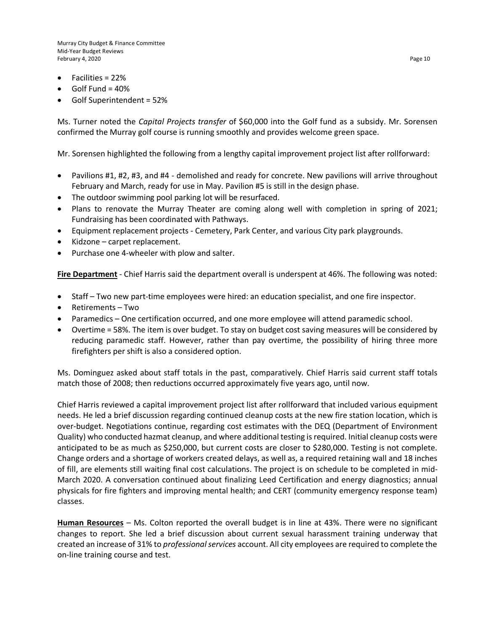Murray City Budget & Finance Committee Mid-Year Budget Reviews February 4, 2020 Page 10

- Facilities = 22%
- Golf Fund = 40%
- Golf Superintendent = 52%

Ms. Turner noted the *Capital Projects transfer* of \$60,000 into the Golf fund as a subsidy. Mr. Sorensen confirmed the Murray golf course is running smoothly and provides welcome green space.

Mr. Sorensen highlighted the following from a lengthy capital improvement project list after rollforward:

- Pavilions #1, #2, #3, and #4 demolished and ready for concrete. New pavilions will arrive throughout February and March, ready for use in May. Pavilion #5 is still in the design phase.
- The outdoor swimming pool parking lot will be resurfaced.
- Plans to renovate the Murray Theater are coming along well with completion in spring of 2021; Fundraising has been coordinated with Pathways.
- Equipment replacement projects Cemetery, Park Center, and various City park playgrounds.
- Kidzone carpet replacement.
- Purchase one 4-wheeler with plow and salter.

**Fire Department** - Chief Harris said the department overall is underspent at 46%. The following was noted:

- Staff Two new part-time employees were hired: an education specialist, and one fire inspector.
- Retirements Two
- Paramedics One certification occurred, and one more employee will attend paramedic school.
- Overtime = 58%. The item is over budget. To stay on budget cost saving measures will be considered by reducing paramedic staff. However, rather than pay overtime, the possibility of hiring three more firefighters per shift is also a considered option.

Ms. Dominguez asked about staff totals in the past, comparatively. Chief Harris said current staff totals match those of 2008; then reductions occurred approximately five years ago, until now.

Chief Harris reviewed a capital improvement project list after rollforward that included various equipment needs. He led a brief discussion regarding continued cleanup costs at the new fire station location, which is over-budget. Negotiations continue, regarding cost estimates with the DEQ (Department of Environment Quality) who conducted hazmat cleanup, and where additional testing is required. Initial cleanup costs were anticipated to be as much as \$250,000, but current costs are closer to \$280,000. Testing is not complete. Change orders and a shortage of workers created delays, as well as, a required retaining wall and 18 inches of fill, are elements still waiting final cost calculations. The project is on schedule to be completed in mid-March 2020. A conversation continued about finalizing Leed Certification and energy diagnostics; annual physicals for fire fighters and improving mental health; and CERT (community emergency response team) classes.

**Human Resources** – Ms. Colton reported the overall budget is in line at 43%. There were no significant changes to report. She led a brief discussion about current sexual harassment training underway that created an increase of 31% to *professional services* account. All city employees are required to complete the on-line training course and test.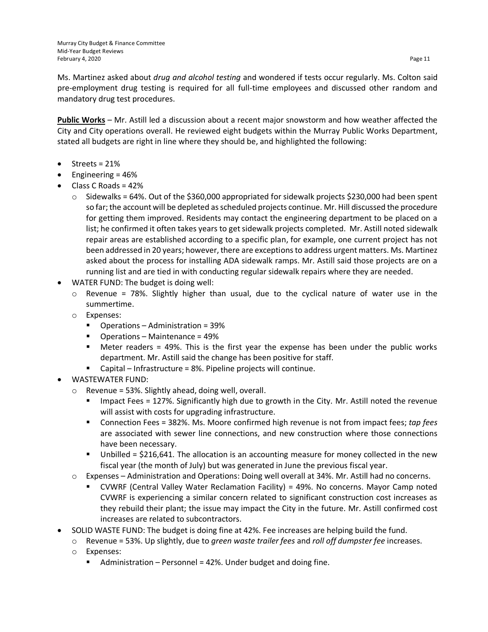Ms. Martinez asked about *drug and alcohol testing* and wondered if tests occur regularly. Ms. Colton said pre-employment drug testing is required for all full-time employees and discussed other random and mandatory drug test procedures.

**Public Works** – Mr. Astill led a discussion about a recent major snowstorm and how weather affected the City and City operations overall. He reviewed eight budgets within the Murray Public Works Department, stated all budgets are right in line where they should be, and highlighted the following:

- Streets = 21%
- Engineering = 46%
- $\bullet$  Class C Roads = 42%
	- $\circ$  Sidewalks = 64%. Out of the \$360,000 appropriated for sidewalk projects \$230,000 had been spent so far; the account will be depleted as scheduled projects continue. Mr. Hill discussed the procedure for getting them improved. Residents may contact the engineering department to be placed on a list; he confirmed it often takes years to get sidewalk projects completed. Mr. Astill noted sidewalk repair areas are established according to a specific plan, for example, one current project has not been addressed in 20 years; however, there are exceptions to address urgent matters. Ms. Martinez asked about the process for installing ADA sidewalk ramps. Mr. Astill said those projects are on a running list and are tied in with conducting regular sidewalk repairs where they are needed.
- WATER FUND: The budget is doing well:
	- $\circ$  Revenue = 78%. Slightly higher than usual, due to the cyclical nature of water use in the summertime.
	- o Expenses:
		- Operations Administration = 39%
		- Operations Maintenance = 49%
		- Meter readers = 49%. This is the first year the expense has been under the public works department. Mr. Astill said the change has been positive for staff.
		- Capital Infrastructure = 8%. Pipeline projects will continue.
- WASTEWATER FUND:
	- o Revenue = 53%. Slightly ahead, doing well, overall.
		- **IMPACT FRAGE 5 127%.** Significantly high due to growth in the City. Mr. Astill noted the revenue will assist with costs for upgrading infrastructure.
		- Connection Fees = 382%. Ms. Moore confirmed high revenue is not from impact fees; *tap fees* are associated with sewer line connections, and new construction where those connections have been necessary.
		- Unbilled = \$216,641. The allocation is an accounting measure for money collected in the new fiscal year (the month of July) but was generated in June the previous fiscal year.
	- o Expenses Administration and Operations: Doing well overall at 34%. Mr. Astill had no concerns.
		- CVWRF (Central Valley Water Reclamation Facility) = 49%. No concerns. Mayor Camp noted CVWRF is experiencing a similar concern related to significant construction cost increases as they rebuild their plant; the issue may impact the City in the future. Mr. Astill confirmed cost increases are related to subcontractors.
- SOLID WASTE FUND: The budget is doing fine at 42%. Fee increases are helping build the fund.
	- o Revenue = 53%. Up slightly, due to *green waste trailer fees* and *roll off dumpster fee* increases.
	- o Expenses:
		- Administration Personnel =  $42\%$ . Under budget and doing fine.